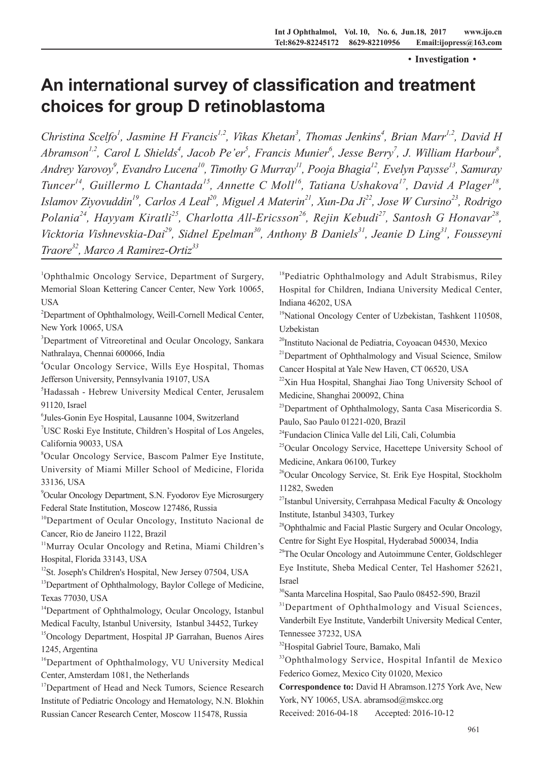·**Investigation**·

# **An international survey of classification and treatment choices for group D retinoblastoma**

*Christina Scelfo<sup>1</sup>, Jasmine H Francis<sup>1,2</sup>, Vikas Khetan<sup>3</sup>, Thomas Jenkins<sup>4</sup>, Brian Marr<sup>1,2</sup>, David H Abramson<sup>1,2</sup>, Carol L Shields<sup>4</sup>, Jacob Pe'er<sup>5</sup>, Francis Munier<sup>6</sup>, Jesse Berry<sup>7</sup>, J. William Harbour<sup>8</sup>,* Andrey Yarovoy<sup>9</sup>, Evandro Lucena<sup>10</sup>, Timothy G Murray<sup>11</sup>, Pooja Bhagia<sup>12</sup>, Evelyn Paysse<sup>13</sup>, Samuray Tuncer<sup>14</sup>, Guillermo L Chantada<sup>15</sup>, Annette C Moll<sup>16</sup>, Tatiana Ushakova<sup>17</sup>, David A Plager<sup>18</sup>, Islamov Ziyovuddin<sup>19</sup>, Carlos A Leal<sup>20</sup>, Miguel A Materin<sup>21</sup>, Xun-Da Ji<sup>22</sup>, Jose W Cursino<sup>23</sup>, Rodrigo Polania<sup>24</sup>, Hayyam Kiratli<sup>25</sup>, Charlotta All-Ericsson<sup>26</sup>, Rejin Kebudi<sup>27</sup>, Santosh G Honavar<sup>28</sup>, Vicktoria Vishnevskia-Dai<sup>29</sup>, Sidnel Epelman<sup>30</sup>, Anthony B Daniels<sup>31</sup>, Jeanie D Ling<sup>31</sup>, Fousseyni *Traore32, Marco A Ramirez-Ortiz33*

| <sup>1</sup> Ophthalmic Oncology Service, Department of Surgery,                                                                                | <sup>18</sup> Pediatric Ophthalmology and Adult Strabismus, Riley        |
|-------------------------------------------------------------------------------------------------------------------------------------------------|--------------------------------------------------------------------------|
| Memorial Sloan Kettering Cancer Center, New York 10065,                                                                                         | Hospital for Children, Indiana University Medical Center,                |
| <b>USA</b>                                                                                                                                      | Indiana 46202, USA                                                       |
| <sup>2</sup> Department of Ophthalmology, Weill-Cornell Medical Center,                                                                         | <sup>19</sup> National Oncology Center of Uzbekistan, Tashkent 110508,   |
| New York 10065, USA                                                                                                                             | Uzbekistan                                                               |
| <sup>3</sup> Department of Vitreoretinal and Ocular Oncology, Sankara                                                                           | <sup>20</sup> Instituto Nacional de Pediatria, Coyoacan 04530, Mexico    |
| Nathralaya, Chennai 600066, India                                                                                                               | <sup>21</sup> Department of Ophthalmology and Visual Science, Smilow     |
| <sup>4</sup> Ocular Oncology Service, Wills Eye Hospital, Thomas                                                                                | Cancer Hospital at Yale New Haven, CT 06520, USA                         |
| Jefferson University, Pennsylvania 19107, USA                                                                                                   | <sup>22</sup> Xin Hua Hospital, Shanghai Jiao Tong University School of  |
| <sup>5</sup> Hadassah - Hebrew University Medical Center, Jerusalem                                                                             | Medicine, Shanghai 200092, China                                         |
| 91120, Israel                                                                                                                                   | <sup>23</sup> Department of Ophthalmology, Santa Casa Misericordia S.    |
| <sup>6</sup> Jules-Gonin Eye Hospital, Lausanne 1004, Switzerland                                                                               | Paulo, Sao Paulo 01221-020, Brazil                                       |
| <sup>7</sup> USC Roski Eye Institute, Children's Hospital of Los Angeles,                                                                       | <sup>24</sup> Fundacion Clinica Valle del Lili, Cali, Columbia           |
| California 90033, USA                                                                                                                           | <sup>25</sup> Ocular Oncology Service, Hacettepe University School of    |
| <sup>8</sup> Ocular Oncology Service, Bascom Palmer Eye Institute,                                                                              | Medicine, Ankara 06100, Turkey                                           |
| University of Miami Miller School of Medicine, Florida                                                                                          | <sup>26</sup> Ocular Oncology Service, St. Erik Eye Hospital, Stockholm  |
| 33136, USA                                                                                                                                      | 11282, Sweden                                                            |
| <sup>9</sup> Ocular Oncology Department, S.N. Fyodorov Eye Microsurgery                                                                         | <sup>27</sup> Istanbul University, Cerrahpasa Medical Faculty & Oncology |
| Federal State Institution, Moscow 127486, Russia                                                                                                | Institute, Istanbul 34303, Turkey                                        |
| <sup>10</sup> Department of Ocular Oncology, Instituto Nacional de                                                                              | <sup>28</sup> Ophthalmic and Facial Plastic Surgery and Ocular Oncology, |
| Cancer, Rio de Janeiro 1122, Brazil                                                                                                             | Centre for Sight Eye Hospital, Hyderabad 500034, India                   |
| <sup>11</sup> Murray Ocular Oncology and Retina, Miami Children's                                                                               | <sup>29</sup> The Ocular Oncology and Autoimmune Center, Goldschleger    |
| Hospital, Florida 33143, USA                                                                                                                    | Eye Institute, Sheba Medical Center, Tel Hashomer 52621,                 |
| <sup>12</sup> St. Joseph's Children's Hospital, New Jersey 07504, USA<br><sup>13</sup> Department of Ophthalmology, Baylor College of Medicine, | Israel                                                                   |
| Texas 77030, USA                                                                                                                                | <sup>30</sup> Santa Marcelina Hospital, Sao Paulo 08452-590, Brazil      |
| <sup>14</sup> Department of Ophthalmology, Ocular Oncology, Istanbul                                                                            | <sup>31</sup> Department of Ophthalmology and Visual Sciences,           |
| Medical Faculty, Istanbul University, Istanbul 34452, Turkey                                                                                    | Vanderbilt Eye Institute, Vanderbilt University Medical Center,          |
| <sup>15</sup> Oncology Department, Hospital JP Garrahan, Buenos Aires                                                                           | Tennessee 37232, USA                                                     |
| 1245, Argentina                                                                                                                                 | <sup>32</sup> Hospital Gabriel Toure, Bamako, Mali                       |
| <sup>16</sup> Department of Ophthalmology, VU University Medical                                                                                | <sup>33</sup> Ophthalmology Service, Hospital Infantil de Mexico         |
| Center, Amsterdam 1081, the Netherlands                                                                                                         | Federico Gomez, Mexico City 01020, Mexico                                |
| <sup>17</sup> Department of Head and Neck Tumors, Science Research                                                                              | Correspondence to: David H Abramson.1275 York Ave, New                   |
| Institute of Pediatric Oncology and Hematology, N.N. Blokhin                                                                                    | York, NY 10065, USA. abramsod@mskcc.org                                  |
| Russian Cancer Research Center, Moscow 115478, Russia                                                                                           | Received: 2016-04-18<br>Accepted: 2016-10-12                             |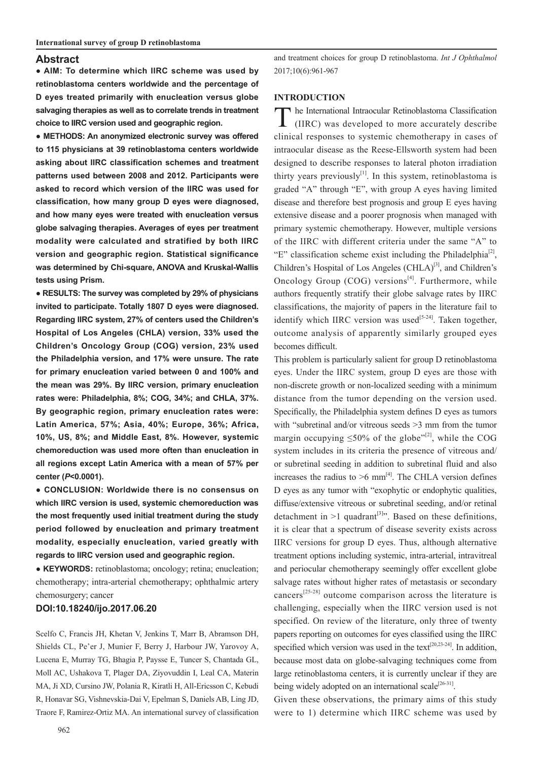### **Abstract**

**● AIM: To determine which IIRC scheme was used by retinoblastoma centers worldwide and the percentage of D eyes treated primarily with enucleation versus globe salvaging therapies as well as to correlate trends in treatment choice to IIRC version used and geographic region.**

**● METHODS: An anonymized electronic survey was offered to 115 physicians at 39 retinoblastoma centers worldwide asking about IIRC classification schemes and treatment patterns used between 2008 and 2012. Participants were asked to record which version of the IIRC was used for classification, how many group D eyes were diagnosed, and how many eyes were treated with enucleation versus globe salvaging therapies. Averages of eyes per treatment modality were calculated and stratified by both IIRC version and geographic region. Statistical significance was determined by Chi-square, ANOVA and Kruskal-Wallis tests using Prism.**

**● RESULTS: The survey was completed by 29% of physicians invited to participate. Totally 1807 D eyes were diagnosed. Regarding IIRC system, 27% of centers used the Children's Hospital of Los Angeles (CHLA) version, 33% used the Children's Oncology Group (COG) version, 23% used the Philadelphia version, and 17% were unsure. The rate for primary enucleation varied between 0 and 100% and the mean was 29%. By IIRC version, primary enucleation rates were: Philadelphia, 8%; COG, 34%; and CHLA, 37%. By geographic region, primary enucleation rates were: Latin America, 57%; Asia, 40%; Europe, 36%; Africa, 10%, US, 8%; and Middle East, 8%. However, systemic chemoreduction was used more often than enucleation in all regions except Latin America with a mean of 57% per center (***P***<0.0001).** 

**● CONCLUSION: Worldwide there is no consensus on which IIRC version is used, systemic chemoreduction was the most frequently used initial treatment during the study period followed by enucleation and primary treatment modality, especially enucleation, varied greatly with regards to IIRC version used and geographic region.** 

**● KEYWORDS:** retinoblastoma; oncology; retina; enucleation; chemotherapy; intra-arterial chemotherapy; ophthalmic artery chemosurgery; cancer

# **DOI:10.18240/ijo.2017.06.20**

Scelfo C, Francis JH, Khetan V, Jenkins T, Marr B, Abramson DH, Shields CL, Pe'er J, Munier F, Berry J, Harbour JW, Yarovoy A, Lucena E, Murray TG, Bhagia P, Paysse E, Tuncer S, Chantada GL, Moll AC, Ushakova T, Plager DA, Ziyovuddin I, Leal CA, Materin MA, Ji XD, Cursino JW, Polania R, Kiratli H, All-Ericsson C, Kebudi R, Honavar SG, Vishnevskia-Dai V, Epelman S, Daniels AB, Ling JD, Traore F, Ramirez-Ortiz MA. An international survey of classification

and treatment choices for group D retinoblastoma. *Int J Ophthalmol* 2017;10(6):961-967

## **INTRODUCTION**

The International Intraocular Retinoblastoma Classification (IIRC) was developed to more accurately describe clinical responses to systemic chemotherapy in cases of intraocular disease as the Reese-Ellsworth system had been designed to describe responses to lateral photon irradiation thirty years previously<sup>[1]</sup>. In this system, retinoblastoma is graded "A" through "E", with group A eyes having limited disease and therefore best prognosis and group E eyes having extensive disease and a poorer prognosis when managed with primary systemic chemotherapy. However, multiple versions of the IIRC with different criteria under the same "A" to "E" classification scheme exist including the Philadelphia<sup>[2]</sup>, Children's Hospital of Los Angeles  $\left( \text{CHLA} \right)^{[3]}$ , and Children's Oncology Group  $(COG)$  versions<sup>[4]</sup>. Furthermore, while authors frequently stratify their globe salvage rates by IIRC classifications, the majority of papers in the literature fail to identify which IIRC version was used<sup>[5-24]</sup>. Taken together, outcome analysis of apparently similarly grouped eyes becomes difficult.

This problem is particularly salient for group D retinoblastoma eyes. Under the IIRC system, group D eyes are those with non-discrete growth or non-localized seeding with a minimum distance from the tumor depending on the version used. Specifically, the Philadelphia system defines D eyes as tumors with "subretinal and/or vitreous seeds >3 mm from the tumor margin occupying  $\leq 50\%$  of the globe"<sup>[2]</sup>, while the COG system includes in its criteria the presence of vitreous and/ or subretinal seeding in addition to subretinal fluid and also increases the radius to  $>6$  mm<sup>[4]</sup>. The CHLA version defines D eyes as any tumor with "exophytic or endophytic qualities, diffuse/extensive vitreous or subretinal seeding, and/or retinal detachment in  $>1$  quadrant<sup>[3]</sup><sup>31</sup>. Based on these definitions, it is clear that a spectrum of disease severity exists across IIRC versions for group D eyes. Thus, although alternative treatment options including systemic, intra-arterial, intravitreal and periocular chemotherapy seemingly offer excellent globe salvage rates without higher rates of metastasis or secondary cancers[25-28] outcome comparison across the literature is challenging, especially when the IIRC version used is not specified. On review of the literature, only three of twenty papers reporting on outcomes for eyes classified using the IIRC specified which version was used in the text $[20,23-24]$ . In addition, because most data on globe-salvaging techniques come from large retinoblastoma centers, it is currently unclear if they are being widely adopted on an international scale<sup>[26-31]</sup>.

Given these observations, the primary aims of this study were to 1) determine which IIRC scheme was used by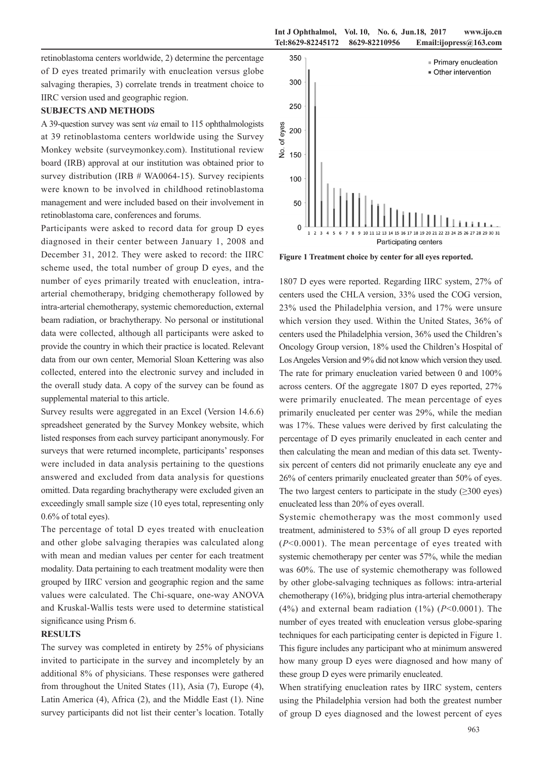retinoblastoma centers worldwide, 2) determine the percentage of D eyes treated primarily with enucleation versus globe salvaging therapies, 3) correlate trends in treatment choice to IIRC version used and geographic region.

# **SUBJECTS AND METHODS**

A 39-question survey was sent *via* email to 115 ophthalmologists at 39 retinoblastoma centers worldwide using the Survey Monkey website (surveymonkey.com). Institutional review board (IRB) approval at our institution was obtained prior to survey distribution (IRB  $#$  WA0064-15). Survey recipients were known to be involved in childhood retinoblastoma management and were included based on their involvement in retinoblastoma care, conferences and forums.

Participants were asked to record data for group D eyes diagnosed in their center between January 1, 2008 and December 31, 2012. They were asked to record: the IIRC scheme used, the total number of group D eyes, and the number of eyes primarily treated with enucleation, intraarterial chemotherapy, bridging chemotherapy followed by intra-arterial chemotherapy, systemic chemoreduction, external beam radiation, or brachytherapy. No personal or institutional data were collected, although all participants were asked to provide the country in which their practice is located. Relevant data from our own center, Memorial Sloan Kettering was also collected, entered into the electronic survey and included in the overall study data. A copy of the survey can be found as supplemental material to this article.

Survey results were aggregated in an Excel (Version 14.6.6) spreadsheet generated by the Survey Monkey website, which listed responses from each survey participant anonymously. For surveys that were returned incomplete, participants' responses were included in data analysis pertaining to the questions answered and excluded from data analysis for questions omitted. Data regarding brachytherapy were excluded given an exceedingly small sample size (10 eyes total, representing only 0.6% of total eyes).

The percentage of total D eyes treated with enucleation and other globe salvaging therapies was calculated along with mean and median values per center for each treatment modality. Data pertaining to each treatment modality were then grouped by IIRC version and geographic region and the same values were calculated. The Chi-square, one-way ANOVA and Kruskal-Wallis tests were used to determine statistical significance using Prism 6.

# **RESULTS**

The survey was completed in entirety by 25% of physicians invited to participate in the survey and incompletely by an additional 8% of physicians. These responses were gathered from throughout the United States (11), Asia (7), Europe (4), Latin America (4), Africa (2), and the Middle East (1). Nine survey participants did not list their center's location. Totally



**Figure 1 Treatment choice by center for all eyes reported.**

1807 D eyes were reported. Regarding IIRC system, 27% of centers used the CHLA version, 33% used the COG version, 23% used the Philadelphia version, and 17% were unsure which version they used. Within the United States, 36% of centers used the Philadelphia version, 36% used the Children's Oncology Group version, 18% used the Children's Hospital of Los Angeles Version and 9% did not know which version they used. The rate for primary enucleation varied between 0 and 100% across centers. Of the aggregate 1807 D eyes reported, 27% were primarily enucleated. The mean percentage of eyes primarily enucleated per center was 29%, while the median was 17%. These values were derived by first calculating the percentage of D eyes primarily enucleated in each center and then calculating the mean and median of this data set. Twentysix percent of centers did not primarily enucleate any eye and 26% of centers primarily enucleated greater than 50% of eyes. The two largest centers to participate in the study  $( \geq 300 \text{ eves})$ enucleated less than 20% of eyes overall.

Systemic chemotherapy was the most commonly used treatment, administered to 53% of all group D eyes reported (*P*<0.0001). The mean percentage of eyes treated with systemic chemotherapy per center was 57%, while the median was 60%. The use of systemic chemotherapy was followed by other globe-salvaging techniques as follows: intra-arterial chemotherapy (16%), bridging plus intra-arterial chemotherapy (4%) and external beam radiation (1%) (*P*<0.0001). The number of eyes treated with enucleation versus globe-sparing techniques for each participating center is depicted in Figure 1. This figure includes any participant who at minimum answered how many group D eyes were diagnosed and how many of these group D eyes were primarily enucleated.

When stratifying enucleation rates by IIRC system, centers using the Philadelphia version had both the greatest number of group D eyes diagnosed and the lowest percent of eyes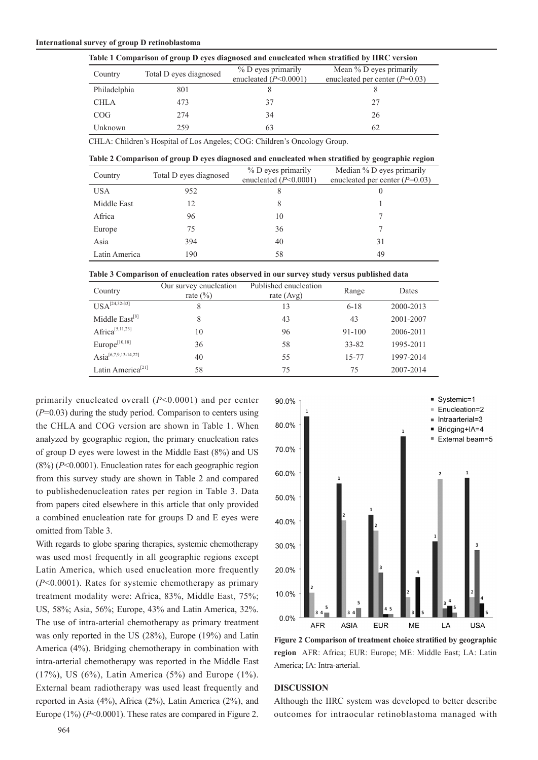#### **International survey of group D retinoblastoma**

| Table 1 Comparison of group D eyes diagnosed and enucleated when stratified by IIRC version |                        |                                               |                                                                |  |
|---------------------------------------------------------------------------------------------|------------------------|-----------------------------------------------|----------------------------------------------------------------|--|
| Country                                                                                     | Total D eyes diagnosed | % D eyes primarily<br>enucleated $(P<0.0001)$ | Mean $\%$ D eyes primarily<br>enucleated per center $(P=0.03)$ |  |
| Philadelphia                                                                                | 801                    |                                               |                                                                |  |
| <b>CHLA</b>                                                                                 | 473                    | 37                                            | 27                                                             |  |
| COG                                                                                         | 274                    | 34                                            | 26                                                             |  |
| Unknown                                                                                     | 259                    | 63                                            | 62                                                             |  |

CHLA: Children's Hospital of Los Angeles; COG: Children's Oncology Group.

**Table 2 Comparison of group D eyes diagnosed and enucleated when stratified by geographic region**

| Country       | Total D eyes diagnosed | % D eyes primarily<br>enucleated $(P<0.0001)$ | Median $\%$ D eyes primarily<br>enucleated per center $(P=0.03)$ |
|---------------|------------------------|-----------------------------------------------|------------------------------------------------------------------|
| <b>USA</b>    | 952                    | 8                                             | 0                                                                |
| Middle East   | 12                     | 8                                             |                                                                  |
| Africa        | 96                     | 10                                            |                                                                  |
| Europe        | 75                     | 36                                            |                                                                  |
| Asia          | 394                    | 40                                            | 31                                                               |
| Latin America | 190                    | 58                                            | 49                                                               |

| Table 3 Comparison of enucleation rates observed in our survey study versus published data |  |  |  |  |  |  |  |
|--------------------------------------------------------------------------------------------|--|--|--|--|--|--|--|
|--------------------------------------------------------------------------------------------|--|--|--|--|--|--|--|

| Country                          | Our survey enucleation<br>rate $(\% )$ | Published enucleation<br>rate $(Avg)$ | Range     | Dates     |
|----------------------------------|----------------------------------------|---------------------------------------|-----------|-----------|
| $USA^{[24,32-33]}$               | 8                                      | 13                                    | $6 - 18$  | 2000-2013 |
| Middle $East[8]$                 | 8                                      | 43                                    | 43        | 2001-2007 |
| Africa <sup>[5,11,23]</sup>      | 10                                     | 96                                    | 91-100    | 2006-2011 |
| Europe <sup>[10,18]</sup>        | 36                                     | 58                                    | $33 - 82$ | 1995-2011 |
| Asia <sup>[6,7,9,13-14,22]</sup> | 40                                     | 55                                    | $15 - 77$ | 1997-2014 |
| Latin America <sup>[21]</sup>    | 58                                     | 75                                    | 75        | 2007-2014 |

primarily enucleated overall (*P*<0.0001) and per center (*P*=0.03) during the study period. Comparison to centers using the CHLA and COG version are shown in Table 1. When analyzed by geographic region, the primary enucleation rates of group D eyes were lowest in the Middle East (8%) and US (8%) (*P*<0.0001). Enucleation rates for each geographic region from this survey study are shown in Table 2 and compared to publishedenucleation rates per region in Table 3. Data from papers cited elsewhere in this article that only provided a combined enucleation rate for groups D and E eyes were omitted from Table 3.

With regards to globe sparing therapies, systemic chemotherapy was used most frequently in all geographic regions except Latin America, which used enucleation more frequently (*P*<0.0001). Rates for systemic chemotherapy as primary treatment modality were: Africa, 83%, Middle East, 75%; US, 58%; Asia, 56%; Europe, 43% and Latin America, 32%. The use of intra-arterial chemotherapy as primary treatment was only reported in the US (28%), Europe (19%) and Latin America (4%). Bridging chemotherapy in combination with intra-arterial chemotherapy was reported in the Middle East (17%), US (6%), Latin America (5%) and Europe (1%). External beam radiotherapy was used least frequently and reported in Asia (4%), Africa (2%), Latin America (2%), and Europe (1%) ( $P \le 0.0001$ ). These rates are compared in Figure 2.



**Figure 2 Comparison of treatment choice stratified by geographic region** AFR: Africa; EUR: Europe; ME: Middle East; LA: Latin America; IA: Intra-arterial.

# **DISCUSSION**

Although the IIRC system was developed to better describe outcomes for intraocular retinoblastoma managed with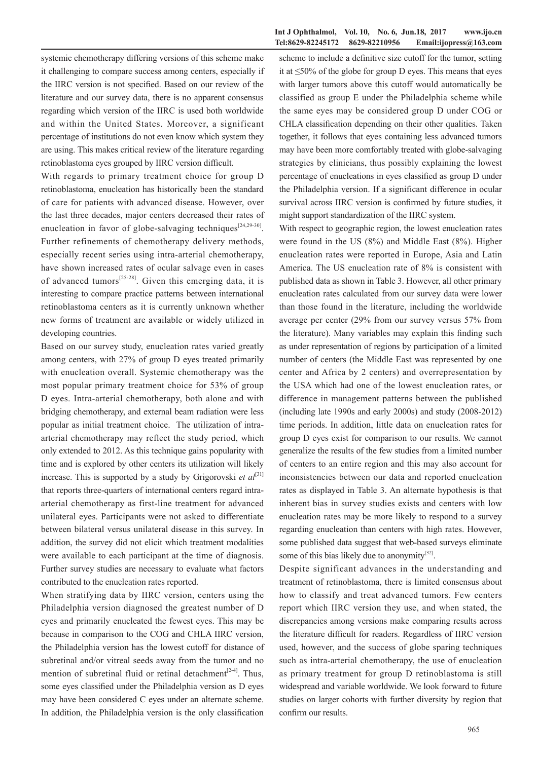systemic chemotherapy differing versions of this scheme make it challenging to compare success among centers, especially if the IIRC version is not specified. Based on our review of the literature and our survey data, there is no apparent consensus regarding which version of the IIRC is used both worldwide and within the United States. Moreover, a significant percentage of institutions do not even know which system they are using. This makes critical review of the literature regarding retinoblastoma eyes grouped by IIRC version difficult.

With regards to primary treatment choice for group D retinoblastoma, enucleation has historically been the standard of care for patients with advanced disease. However, over the last three decades, major centers decreased their rates of enucleation in favor of globe-salvaging techniques<sup>[24,29-30]</sup>. Further refinements of chemotherapy delivery methods, especially recent series using intra-arterial chemotherapy, have shown increased rates of ocular salvage even in cases of advanced tumors<sup>[25-28]</sup>. Given this emerging data, it is interesting to compare practice patterns between international retinoblastoma centers as it is currently unknown whether new forms of treatment are available or widely utilized in developing countries.

Based on our survey study, enucleation rates varied greatly among centers, with 27% of group D eyes treated primarily with enucleation overall. Systemic chemotherapy was the most popular primary treatment choice for 53% of group D eyes. Intra-arterial chemotherapy, both alone and with bridging chemotherapy, and external beam radiation were less popular as initial treatment choice. The utilization of intraarterial chemotherapy may reflect the study period, which only extended to 2012. As this technique gains popularity with time and is explored by other centers its utilization will likely increase. This is supported by a study by Grigorovski *et al*<sup>[31]</sup> that reports three-quarters of international centers regard intraarterial chemotherapy as first-line treatment for advanced unilateral eyes. Participants were not asked to differentiate between bilateral versus unilateral disease in this survey. In addition, the survey did not elicit which treatment modalities were available to each participant at the time of diagnosis. Further survey studies are necessary to evaluate what factors contributed to the enucleation rates reported.

When stratifying data by IIRC version, centers using the Philadelphia version diagnosed the greatest number of D eyes and primarily enucleated the fewest eyes. This may be because in comparison to the COG and CHLA IIRC version, the Philadelphia version has the lowest cutoff for distance of subretinal and/or vitreal seeds away from the tumor and no mention of subretinal fluid or retinal detachment<sup>[2-4]</sup>. Thus, some eyes classified under the Philadelphia version as D eyes may have been considered C eyes under an alternate scheme. In addition, the Philadelphia version is the only classification

scheme to include a definitive size cutoff for the tumor, setting it at ≤50% of the globe for group D eyes. This means that eyes with larger tumors above this cutoff would automatically be classified as group E under the Philadelphia scheme while the same eyes may be considered group D under COG or CHLA classification depending on their other qualities. Taken together, it follows that eyes containing less advanced tumors may have been more comfortably treated with globe-salvaging strategies by clinicians, thus possibly explaining the lowest percentage of enucleations in eyes classified as group D under the Philadelphia version. If a significant difference in ocular survival across IIRC version is confirmed by future studies, it might support standardization of the IIRC system.

With respect to geographic region, the lowest enucleation rates were found in the US (8%) and Middle East (8%). Higher enucleation rates were reported in Europe, Asia and Latin America. The US enucleation rate of 8% is consistent with published data as shown in Table 3. However, all other primary enucleation rates calculated from our survey data were lower than those found in the literature, including the worldwide average per center (29% from our survey versus 57% from the literature). Many variables may explain this finding such as under representation of regions by participation of a limited number of centers (the Middle East was represented by one center and Africa by 2 centers) and overrepresentation by the USA which had one of the lowest enucleation rates, or difference in management patterns between the published (including late 1990s and early 2000s) and study (2008-2012) time periods. In addition, little data on enucleation rates for group D eyes exist for comparison to our results. We cannot generalize the results of the few studies from a limited number of centers to an entire region and this may also account for inconsistencies between our data and reported enucleation rates as displayed in Table 3. An alternate hypothesis is that inherent bias in survey studies exists and centers with low enucleation rates may be more likely to respond to a survey regarding enucleation than centers with high rates. However, some published data suggest that web-based surveys eliminate some of this bias likely due to anonymity<sup>[32]</sup>.

Despite significant advances in the understanding and treatment of retinoblastoma, there is limited consensus about how to classify and treat advanced tumors. Few centers report which IIRC version they use, and when stated, the discrepancies among versions make comparing results across the literature difficult for readers. Regardless of IIRC version used, however, and the success of globe sparing techniques such as intra-arterial chemotherapy, the use of enucleation as primary treatment for group D retinoblastoma is still widespread and variable worldwide. We look forward to future studies on larger cohorts with further diversity by region that confirm our results.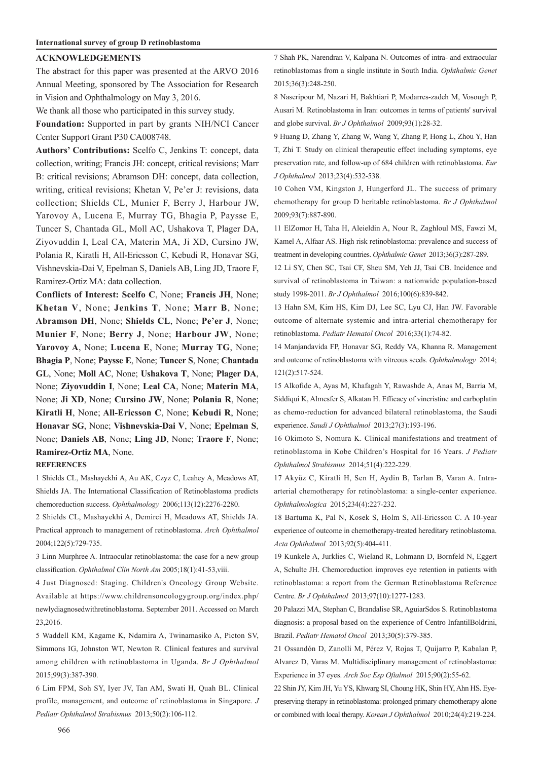# **ACKNOWLEDGEMENTS**

The abstract for this paper was presented at the ARVO 2016 Annual Meeting, sponsored by The Association for Research in Vision and Ophthalmology on May 3, 2016.

We thank all those who participated in this survey study.

**Foundation:** Supported in part by grants NIH/NCI Cancer Center Support Grant P30 CA008748.

**Authors' Contributions:** Scelfo C, Jenkins T: concept, data collection, writing; Francis JH: concept, critical revisions; Marr B: critical revisions; Abramson DH: concept, data collection, writing, critical revisions; Khetan V, Pe'er J: revisions, data collection; Shields CL, Munier F, Berry J, Harbour JW, Yarovoy A, Lucena E, Murray TG, Bhagia P, Paysse E, Tuncer S, Chantada GL, Moll AC, Ushakova T, Plager DA, Ziyovuddin I, Leal CA, Materin MA, Ji XD, Cursino JW, Polania R, Kiratli H, All-Ericsson C, Kebudi R, Honavar SG, Vishnevskia-Dai V, Epelman S, Daniels AB, Ling JD, Traore F, Ramirez-Ortiz MA: data collection.

**Conflicts of Interest: Scelfo C**, None; **Francis JH**, None; **Khetan V**, None; **Jenkins T**, None; **Marr B**, None; **Abramson DH**, None; **Shields CL**, None; **Pe'er J**, None; **Munier F**, None; **Berry J**, None; **Harbour JW**, None; **Yarovoy A**, None; **Lucena E**, None; **Murray TG**, None; **Bhagia P**, None; **Paysse E**, None; **Tuncer S**, None; **Chantada GL**, None; **Moll AC**, None; **Ushakova T**, None; **Plager DA**, None; **Ziyovuddin I**, None; **Leal CA**, None; **Materin MA**, None; **Ji XD**, None; **Cursino JW**, None; **Polania R**, None; **Kiratli H**, None; **All-Ericsson C**, None; **Kebudi R**, None; **Honavar SG**, None; **Vishnevskia-Dai V**, None; **Epelman S**, None; **Daniels AB**, None; **Ling JD**, None; **Traore F**, None; **Ramirez-Ortiz MA**, None.

# **REFERENCES**

1 Shields CL, Mashayekhi A, Au AK, Czyz C, Leahey A, Meadows AT, Shields JA. The International Classification of Retinoblastoma predicts chemoreduction success. *Ophthalmology* 2006;113(12):2276-2280.

2 Shields CL, Mashayekhi A, Demirci H, Meadows AT, Shields JA. Practical approach to management of retinoblastoma. *Arch Ophthalmol* 2004;122(5):729-735.

3 Linn Murphree A. Intraocular retinoblastoma: the case for a new group classification. *Ophthalmol Clin North Am* 2005;18(1):41-53,viii.

4 Just Diagnosed: Staging. Children's Oncology Group Website. Available at https://www.childrensoncologygroup.org/index.php/ newlydiagnosedwithretinoblastoma. September 2011. Accessed on March 23,2016.

5 Waddell KM, Kagame K, Ndamira A, Twinamasiko A, Picton SV, Simmons IG, Johnston WT, Newton R. Clinical features and survival among children with retinoblastoma in Uganda. *Br J Ophthalmol* 2015;99(3):387-390.

6 Lim FPM, Soh SY, Iyer JV, Tan AM, Swati H, Quah BL. Clinical profile, management, and outcome of retinoblastoma in Singapore. *J Pediatr Ophthalmol Strabismus* 2013;50(2):106-112.

7 Shah PK, Narendran V, Kalpana N. Outcomes of intra- and extraocular retinoblastomas from a single institute in South India. *Ophthalmic Genet*  2015;36(3):248-250.

8 Naseripour M, Nazari H, Bakhtiari P, Modarres-zadeh M, Vosough P, Ausari M. Retinoblastoma in Iran: outcomes in terms of patients' survival and globe survival. *Br J Ophthalmol* 2009;93(1):28-32.

9 Huang D, Zhang Y, Zhang W, Wang Y, Zhang P, Hong L, Zhou Y, Han T, Zhi T. Study on clinical therapeutic effect including symptoms, eye preservation rate, and follow-up of 684 children with retinoblastoma. *Eur J Ophthalmol* 2013;23(4):532-538.

10 Cohen VM, Kingston J, Hungerford JL. The success of primary chemotherapy for group D heritable retinoblastoma. *Br J Ophthalmol* 2009;93(7):887-890.

11 ElZomor H, Taha H, Aleieldin A, Nour R, Zaghloul MS, Fawzi M, Kamel A, Alfaar AS. High risk retinoblastoma: prevalence and success of treatment in developing countries. *Ophthalmic Genet* 2013;36(3):287-289.

12 Li SY, Chen SC, Tsai CF, Sheu SM, Yeh JJ, Tsai CB. Incidence and survival of retinoblastoma in Taiwan: a nationwide population-based study 1998-2011. *Br J Ophthalmol* 2016;100(6):839-842.

13 Hahn SM, Kim HS, Kim DJ, Lee SC, Lyu CJ, Han JW. Favorable outcome of alternate systemic and intra-arterial chemotherapy for retinoblastoma. *Pediatr Hematol Oncol* 2016;33(1):74-82.

14 Manjandavida FP, Honavar SG, Reddy VA, Khanna R. Management and outcome of retinoblastoma with vitreous seeds. *Ophthalmology* 2014; 121(2):517-524.

15 Alkofide A, Ayas M, Khafagah Y, Rawashde A, Anas M, Barria M, Siddiqui K, Almesfer S, Alkatan H. Efficacy of vincristine and carboplatin as chemo-reduction for advanced bilateral retinoblastoma, the Saudi experience. *Saudi J Ophthalmol* 2013;27(3):193-196.

16 Okimoto S, Nomura K. Clinical manifestations and treatment of retinoblastoma in Kobe Children's Hospital for 16 Years. *J Pediatr Ophthalmol Strabismus* 2014;51(4):222-229.

17 Akyüz C, Kiratli H, Sen H, Aydin B, Tarlan B, Varan A. Intraarterial chemotherapy for retinoblastoma: a single-center experience. *Ophthalmologica* 2015;234(4):227-232.

18 Bartuma K, Pal N, Kosek S, Holm S, All-Ericsson C. A 10-year experience of outcome in chemotherapy-treated hereditary retinoblastoma. *Acta Ophthalmol* 2013;92(5):404-411.

19 Kunkele A, Jurklies C, Wieland R, Lohmann D, Bornfeld N, Eggert A, Schulte JH. Chemoreduction improves eye retention in patients with retinoblastoma: a report from the German Retinoblastoma Reference Centre. *Br J Ophthalmol* 2013;97(10):1277-1283.

20 Palazzi MA, Stephan C, Brandalise SR, AguiarSdos S. Retinoblastoma diagnosis: a proposal based on the experience of Centro InfantilBoldrini, Brazil. *Pediatr Hematol Oncol* 2013;30(5):379-385.

21 Ossandón D, Zanolli M, Pérez V, Rojas T, Quijarro P, Kabalan P, Alvarez D, Varas M. Multidisciplinary management of retinoblastoma: Experience in 37 eyes. *Arch Soc Esp Oftalmol* 2015;90(2):55-62.

22 Shin JY, Kim JH, Yu YS, Khwarg SI, Choung HK, Shin HY, Ahn HS. Eyepreserving therapy in retinoblastoma: prolonged primary chemotherapy alone or combined with local therapy. *Korean J Ophthalmol* 2010;24(4):219-224.